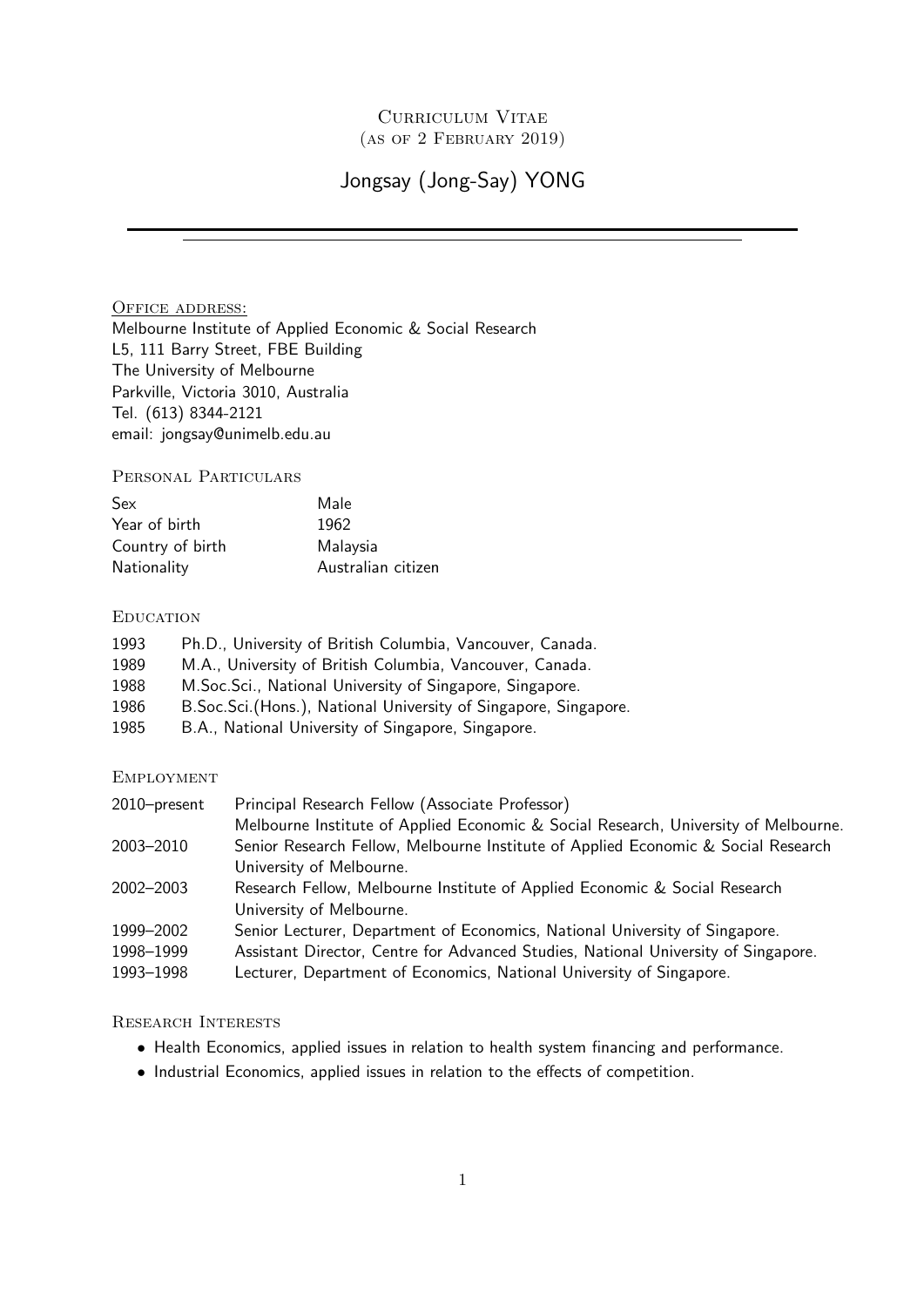# Curriculum Vitae (as of 2 February 2019)

# Jongsay (Jong-Say) YONG

OFFICE ADDRESS: Melbourne Institute of Applied Economic & Social Research L5, 111 Barry Street, FBE Building The University of Melbourne Parkville, Victoria 3010, Australia Tel. (613) 8344-2121 email: jongsay@unimelb.edu.au

Personal Particulars

| Sex              | Male               |
|------------------|--------------------|
| Year of birth    | 1962               |
| Country of birth | Malaysia           |
| Nationality      | Australian citizen |

# **EDUCATION**

| Ph.D., University of British Columbia, Vancouver, Canada.        |
|------------------------------------------------------------------|
| M.A., University of British Columbia, Vancouver, Canada.         |
| M. Soc. Sci., National University of Singapore, Singapore.       |
| B.Soc.Sci. (Hons.), National University of Singapore, Singapore. |
| B.A., National University of Singapore, Singapore.               |
|                                                                  |

# **EMPLOYMENT**

| 2010-present | Principal Research Fellow (Associate Professor)                                     |  |
|--------------|-------------------------------------------------------------------------------------|--|
|              | Melbourne Institute of Applied Economic & Social Research, University of Melbourne. |  |
| 2003-2010    | Senior Research Fellow, Melbourne Institute of Applied Economic & Social Research   |  |
|              | University of Melbourne.                                                            |  |
| 2002-2003    | Research Fellow, Melbourne Institute of Applied Economic & Social Research          |  |
|              | University of Melbourne.                                                            |  |
| 1999-2002    | Senior Lecturer, Department of Economics, National University of Singapore.         |  |
| 1998-1999    | Assistant Director, Centre for Advanced Studies, National University of Singapore.  |  |
| 1993-1998    | Lecturer, Department of Economics, National University of Singapore.                |  |

# Research Interests

- Health Economics, applied issues in relation to health system financing and performance.
- Industrial Economics, applied issues in relation to the effects of competition.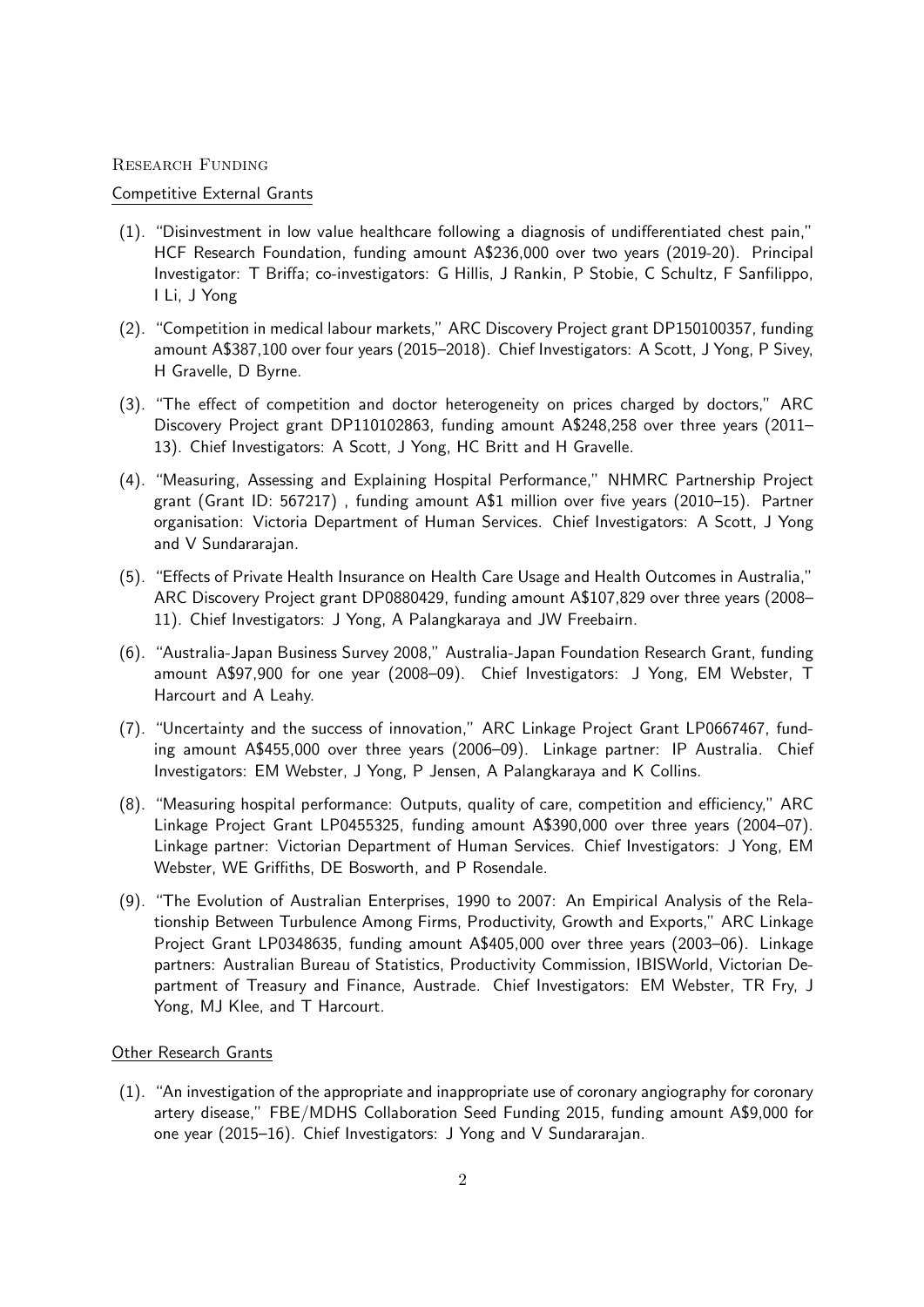#### Research Funding

### Competitive External Grants

- (1). "Disinvestment in low value healthcare following a diagnosis of undifferentiated chest pain," HCF Research Foundation, funding amount A\$236,000 over two years (2019-20). Principal Investigator: T Briffa; co-investigators: G Hillis, J Rankin, P Stobie, C Schultz, F Sanfilippo, I Li, J Yong
- (2). "Competition in medical labour markets," ARC Discovery Project grant DP150100357, funding amount A\$387,100 over four years (2015–2018). Chief Investigators: A Scott, J Yong, P Sivey, H Gravelle, D Byrne.
- (3). "The effect of competition and doctor heterogeneity on prices charged by doctors," ARC Discovery Project grant DP110102863, funding amount A\$248,258 over three years (2011– 13). Chief Investigators: A Scott, J Yong, HC Britt and H Gravelle.
- (4). "Measuring, Assessing and Explaining Hospital Performance," NHMRC Partnership Project grant (Grant ID: 567217) , funding amount A\$1 million over five years (2010–15). Partner organisation: Victoria Department of Human Services. Chief Investigators: A Scott, J Yong and V Sundararajan.
- (5). "Effects of Private Health Insurance on Health Care Usage and Health Outcomes in Australia," ARC Discovery Project grant DP0880429, funding amount A\$107,829 over three years (2008– 11). Chief Investigators: J Yong, A Palangkaraya and JW Freebairn.
- (6). "Australia-Japan Business Survey 2008," Australia-Japan Foundation Research Grant, funding amount A\$97,900 for one year (2008–09). Chief Investigators: J Yong, EM Webster, T Harcourt and A Leahy.
- (7). "Uncertainty and the success of innovation," ARC Linkage Project Grant LP0667467, funding amount A\$455,000 over three years (2006–09). Linkage partner: IP Australia. Chief Investigators: EM Webster, J Yong, P Jensen, A Palangkaraya and K Collins.
- (8). "Measuring hospital performance: Outputs, quality of care, competition and efficiency," ARC Linkage Project Grant LP0455325, funding amount A\$390,000 over three years (2004–07). Linkage partner: Victorian Department of Human Services. Chief Investigators: J Yong, EM Webster, WE Griffiths, DE Bosworth, and P Rosendale.
- (9). "The Evolution of Australian Enterprises, 1990 to 2007: An Empirical Analysis of the Relationship Between Turbulence Among Firms, Productivity, Growth and Exports," ARC Linkage Project Grant LP0348635, funding amount A\$405,000 over three years (2003–06). Linkage partners: Australian Bureau of Statistics, Productivity Commission, IBISWorld, Victorian Department of Treasury and Finance, Austrade. Chief Investigators: EM Webster, TR Fry, J Yong, MJ Klee, and T Harcourt.

## Other Research Grants

(1). "An investigation of the appropriate and inappropriate use of coronary angiography for coronary artery disease," FBE/MDHS Collaboration Seed Funding 2015, funding amount A\$9,000 for one year (2015–16). Chief Investigators: J Yong and V Sundararajan.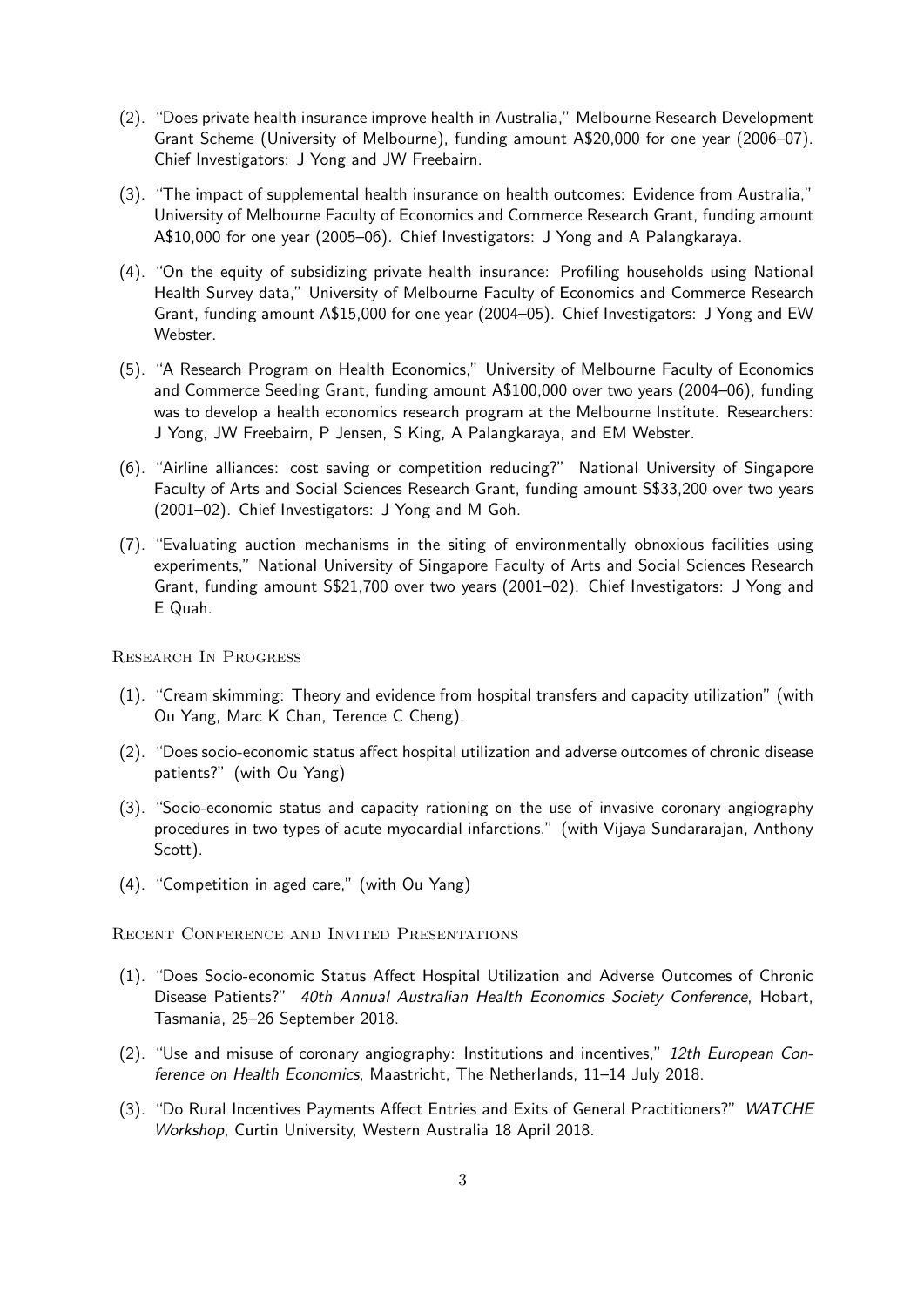- (2). "Does private health insurance improve health in Australia," Melbourne Research Development Grant Scheme (University of Melbourne), funding amount A\$20,000 for one year (2006–07). Chief Investigators: J Yong and JW Freebairn.
- (3). "The impact of supplemental health insurance on health outcomes: Evidence from Australia," University of Melbourne Faculty of Economics and Commerce Research Grant, funding amount A\$10,000 for one year (2005–06). Chief Investigators: J Yong and A Palangkaraya.
- (4). "On the equity of subsidizing private health insurance: Profiling households using National Health Survey data," University of Melbourne Faculty of Economics and Commerce Research Grant, funding amount A\$15,000 for one year (2004–05). Chief Investigators: J Yong and EW Webster.
- (5). "A Research Program on Health Economics," University of Melbourne Faculty of Economics and Commerce Seeding Grant, funding amount A\$100,000 over two years (2004–06), funding was to develop a health economics research program at the Melbourne Institute. Researchers: J Yong, JW Freebairn, P Jensen, S King, A Palangkaraya, and EM Webster.
- (6). "Airline alliances: cost saving or competition reducing?" National University of Singapore Faculty of Arts and Social Sciences Research Grant, funding amount S\$33,200 over two years (2001–02). Chief Investigators: J Yong and M Goh.
- (7). "Evaluating auction mechanisms in the siting of environmentally obnoxious facilities using experiments," National University of Singapore Faculty of Arts and Social Sciences Research Grant, funding amount S\$21,700 over two years (2001–02). Chief Investigators: J Yong and E Quah.

Research In Progress

- (1). "Cream skimming: Theory and evidence from hospital transfers and capacity utilization" (with Ou Yang, Marc K Chan, Terence C Cheng).
- (2). "Does socio-economic status affect hospital utilization and adverse outcomes of chronic disease patients?" (with Ou Yang)
- (3). "Socio-economic status and capacity rationing on the use of invasive coronary angiography procedures in two types of acute myocardial infarctions." (with Vijaya Sundararajan, Anthony Scott).
- (4). "Competition in aged care," (with Ou Yang)

Recent Conference and Invited Presentations

- (1). "Does Socio-economic Status Affect Hospital Utilization and Adverse Outcomes of Chronic Disease Patients?" 40th Annual Australian Health Economics Society Conference, Hobart, Tasmania, 25–26 September 2018.
- $(2)$ . "Use and misuse of coronary angiography: Institutions and incentives," 12th European Conference on Health Economics, Maastricht, The Netherlands, 11–14 July 2018.
- (3). "Do Rural Incentives Payments Affect Entries and Exits of General Practitioners?" WATCHE Workshop, Curtin University, Western Australia 18 April 2018.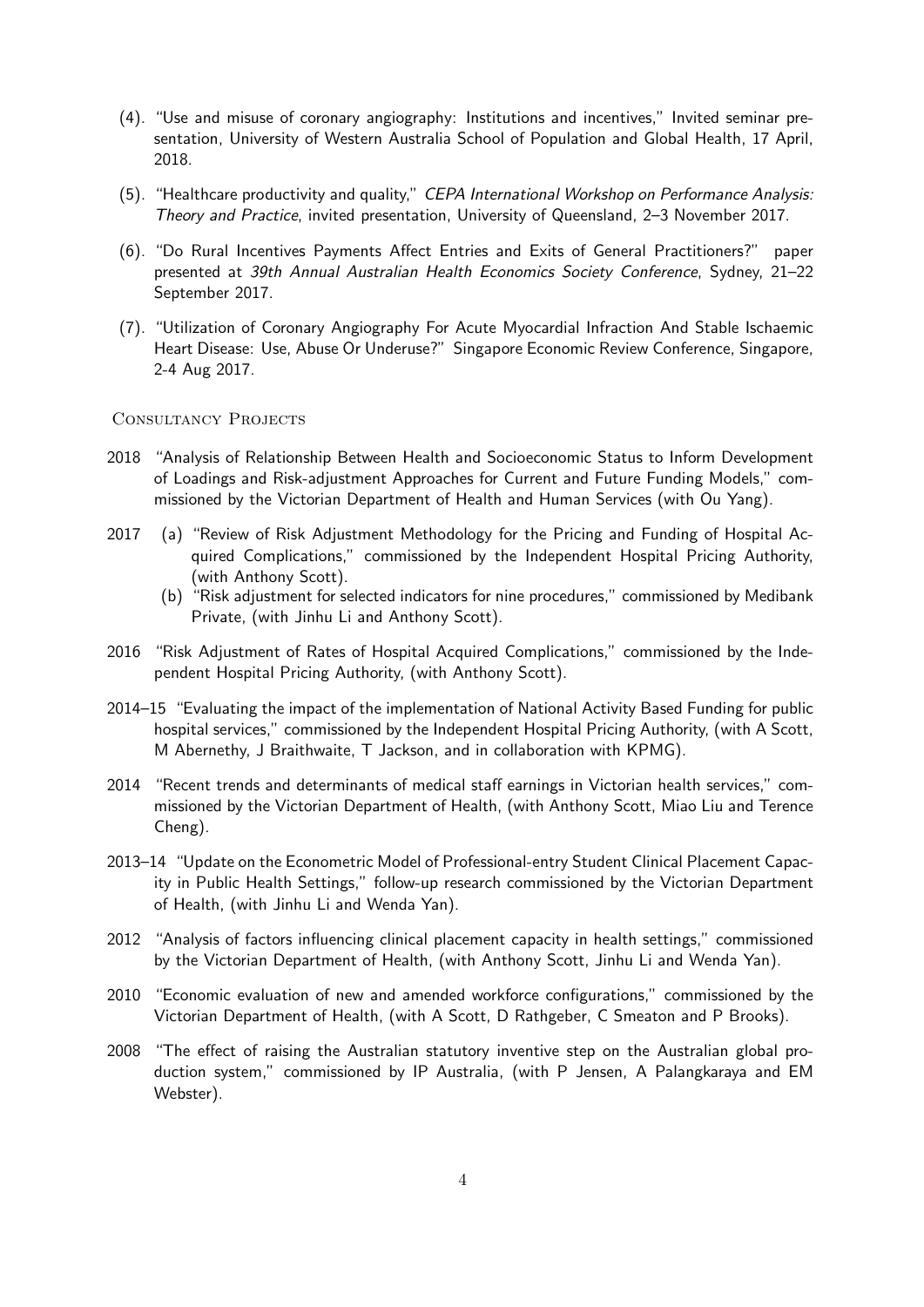- (4). "Use and misuse of coronary angiography: Institutions and incentives," Invited seminar presentation, University of Western Australia School of Population and Global Health, 17 April, 2018.
- (5). "Healthcare productivity and quality," CEPA International Workshop on Performance Analysis: Theory and Practice, invited presentation, University of Queensland, 2–3 November 2017.
- (6). "Do Rural Incentives Payments Affect Entries and Exits of General Practitioners?" paper presented at 39th Annual Australian Health Economics Society Conference, Sydney, 21–22 September 2017.
- (7). "Utilization of Coronary Angiography For Acute Myocardial Infraction And Stable Ischaemic Heart Disease: Use, Abuse Or Underuse?" Singapore Economic Review Conference, Singapore, 2-4 Aug 2017.

## CONSULTANCY PROJECTS

- 2018 "Analysis of Relationship Between Health and Socioeconomic Status to Inform Development of Loadings and Risk-adjustment Approaches for Current and Future Funding Models," commissioned by the Victorian Department of Health and Human Services (with Ou Yang).
- 2017 (a) "Review of Risk Adjustment Methodology for the Pricing and Funding of Hospital Acquired Complications," commissioned by the Independent Hospital Pricing Authority, (with Anthony Scott).
	- (b) "Risk adjustment for selected indicators for nine procedures," commissioned by Medibank Private, (with Jinhu Li and Anthony Scott).
- 2016 "Risk Adjustment of Rates of Hospital Acquired Complications," commissioned by the Independent Hospital Pricing Authority, (with Anthony Scott).
- 2014–15 "Evaluating the impact of the implementation of National Activity Based Funding for public hospital services," commissioned by the Independent Hospital Pricing Authority, (with A Scott, M Abernethy, J Braithwaite, T Jackson, and in collaboration with KPMG).
- 2014 "Recent trends and determinants of medical staff earnings in Victorian health services," commissioned by the Victorian Department of Health, (with Anthony Scott, Miao Liu and Terence Cheng).
- 2013–14 "Update on the Econometric Model of Professional-entry Student Clinical Placement Capacity in Public Health Settings," follow-up research commissioned by the Victorian Department of Health, (with Jinhu Li and Wenda Yan).
- 2012 "Analysis of factors influencing clinical placement capacity in health settings," commissioned by the Victorian Department of Health, (with Anthony Scott, Jinhu Li and Wenda Yan).
- 2010 "Economic evaluation of new and amended workforce configurations," commissioned by the Victorian Department of Health, (with A Scott, D Rathgeber, C Smeaton and P Brooks).
- 2008 "The effect of raising the Australian statutory inventive step on the Australian global production system," commissioned by IP Australia, (with P Jensen, A Palangkaraya and EM Webster).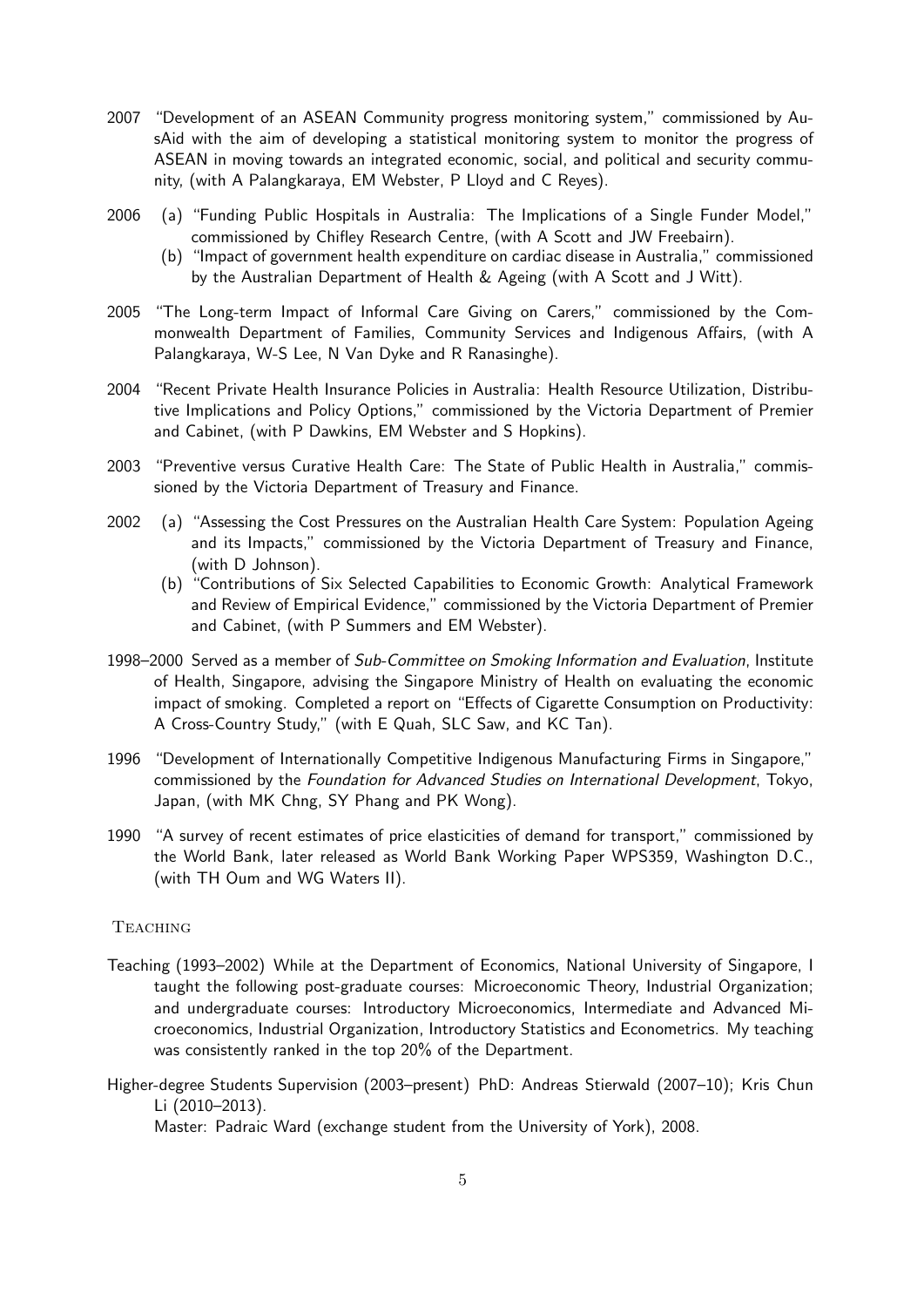- 2007 "Development of an ASEAN Community progress monitoring system," commissioned by AusAid with the aim of developing a statistical monitoring system to monitor the progress of ASEAN in moving towards an integrated economic, social, and political and security community, (with A Palangkaraya, EM Webster, P Lloyd and C Reyes).
- 2006 (a) "Funding Public Hospitals in Australia: The Implications of a Single Funder Model," commissioned by Chifley Research Centre, (with A Scott and JW Freebairn).
	- (b) "Impact of government health expenditure on cardiac disease in Australia," commissioned by the Australian Department of Health & Ageing (with A Scott and J Witt).
- 2005 "The Long-term Impact of Informal Care Giving on Carers," commissioned by the Commonwealth Department of Families, Community Services and Indigenous Affairs, (with A Palangkaraya, W-S Lee, N Van Dyke and R Ranasinghe).
- 2004 "Recent Private Health Insurance Policies in Australia: Health Resource Utilization, Distributive Implications and Policy Options," commissioned by the Victoria Department of Premier and Cabinet, (with P Dawkins, EM Webster and S Hopkins).
- 2003 "Preventive versus Curative Health Care: The State of Public Health in Australia," commissioned by the Victoria Department of Treasury and Finance.
- 2002 (a) "Assessing the Cost Pressures on the Australian Health Care System: Population Ageing and its Impacts," commissioned by the Victoria Department of Treasury and Finance, (with D Johnson).
	- (b) "Contributions of Six Selected Capabilities to Economic Growth: Analytical Framework and Review of Empirical Evidence," commissioned by the Victoria Department of Premier and Cabinet, (with P Summers and EM Webster).
- 1998–2000 Served as a member of Sub-Committee on Smoking Information and Evaluation, Institute of Health, Singapore, advising the Singapore Ministry of Health on evaluating the economic impact of smoking. Completed a report on "Effects of Cigarette Consumption on Productivity: A Cross-Country Study," (with E Quah, SLC Saw, and KC Tan).
- 1996 "Development of Internationally Competitive Indigenous Manufacturing Firms in Singapore," commissioned by the Foundation for Advanced Studies on International Development, Tokyo, Japan, (with MK Chng, SY Phang and PK Wong).
- 1990 "A survey of recent estimates of price elasticities of demand for transport," commissioned by the World Bank, later released as World Bank Working Paper WPS359, Washington D.C., (with TH Oum and WG Waters II).

## **TEACHING**

- Teaching (1993–2002) While at the Department of Economics, National University of Singapore, I taught the following post-graduate courses: Microeconomic Theory, Industrial Organization; and undergraduate courses: Introductory Microeconomics, Intermediate and Advanced Microeconomics, Industrial Organization, Introductory Statistics and Econometrics. My teaching was consistently ranked in the top 20% of the Department.
- Higher-degree Students Supervision (2003–present) PhD: Andreas Stierwald (2007–10); Kris Chun Li (2010–2013).

Master: Padraic Ward (exchange student from the University of York), 2008.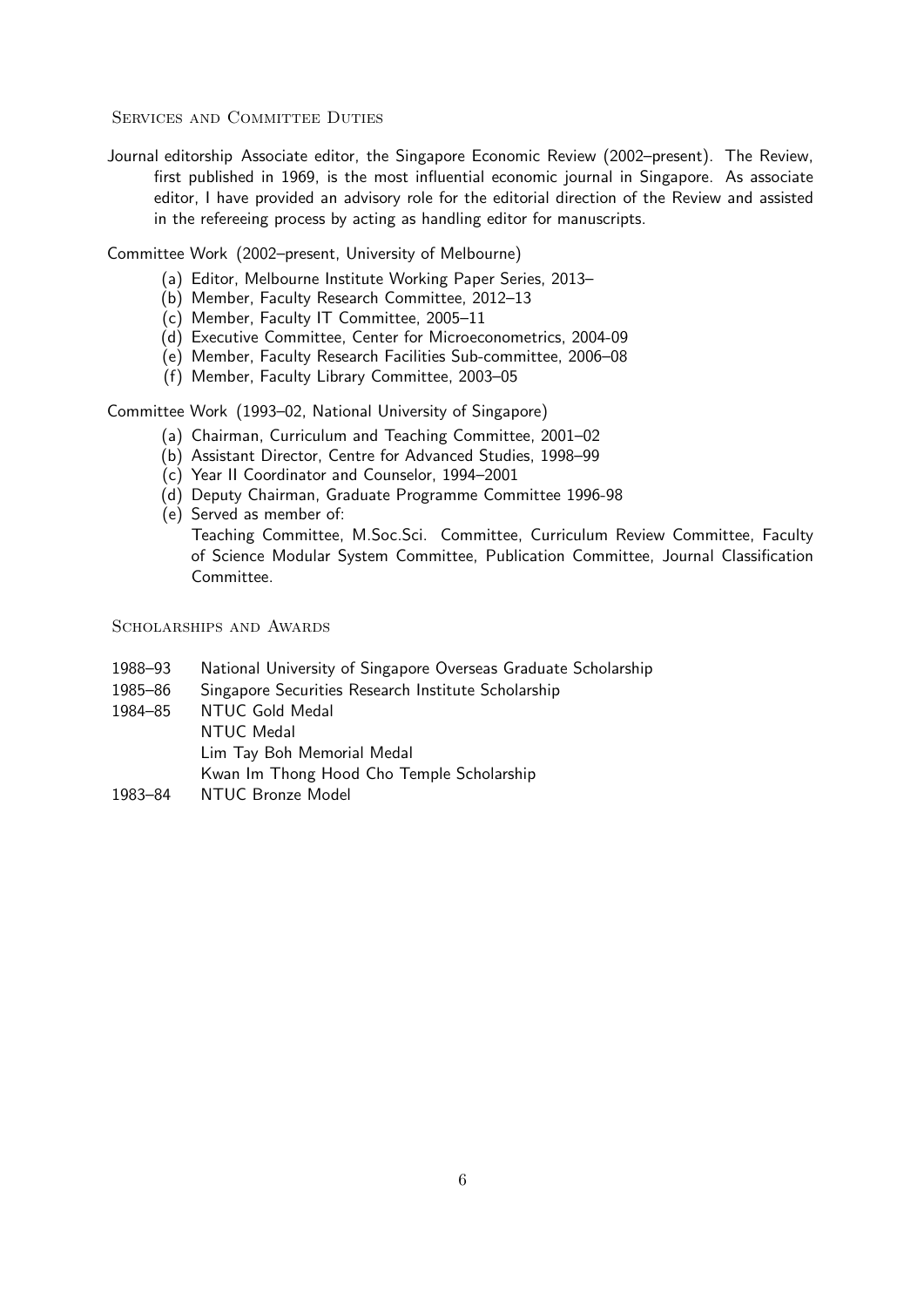SERVICES AND COMMITTEE DUTIES

Journal editorship Associate editor, the Singapore Economic Review (2002–present). The Review, first published in 1969, is the most influential economic journal in Singapore. As associate editor, I have provided an advisory role for the editorial direction of the Review and assisted in the refereeing process by acting as handling editor for manuscripts.

Committee Work (2002–present, University of Melbourne)

- (a) Editor, Melbourne Institute Working Paper Series, 2013–
- (b) Member, Faculty Research Committee, 2012–13
- (c) Member, Faculty IT Committee, 2005–11
- (d) Executive Committee, Center for Microeconometrics, 2004-09
- (e) Member, Faculty Research Facilities Sub-committee, 2006–08
- (f) Member, Faculty Library Committee, 2003–05

Committee Work (1993–02, National University of Singapore)

- (a) Chairman, Curriculum and Teaching Committee, 2001–02
- (b) Assistant Director, Centre for Advanced Studies, 1998–99
- (c) Year II Coordinator and Counselor, 1994–2001
- (d) Deputy Chairman, Graduate Programme Committee 1996-98
- (e) Served as member of: Teaching Committee, M.Soc.Sci. Committee, Curriculum Review Committee, Faculty of Science Modular System Committee, Publication Committee, Journal Classification Committee.

SCHOLARSHIPS AND AWARDS

- 1988–93 National University of Singapore Overseas Graduate Scholarship
- 1985–86 Singapore Securities Research Institute Scholarship
- 1984–85 NTUC Gold Medal NTUC Medal Lim Tay Boh Memorial Medal Kwan Im Thong Hood Cho Temple Scholarship 1983–84 NTUC Bronze Model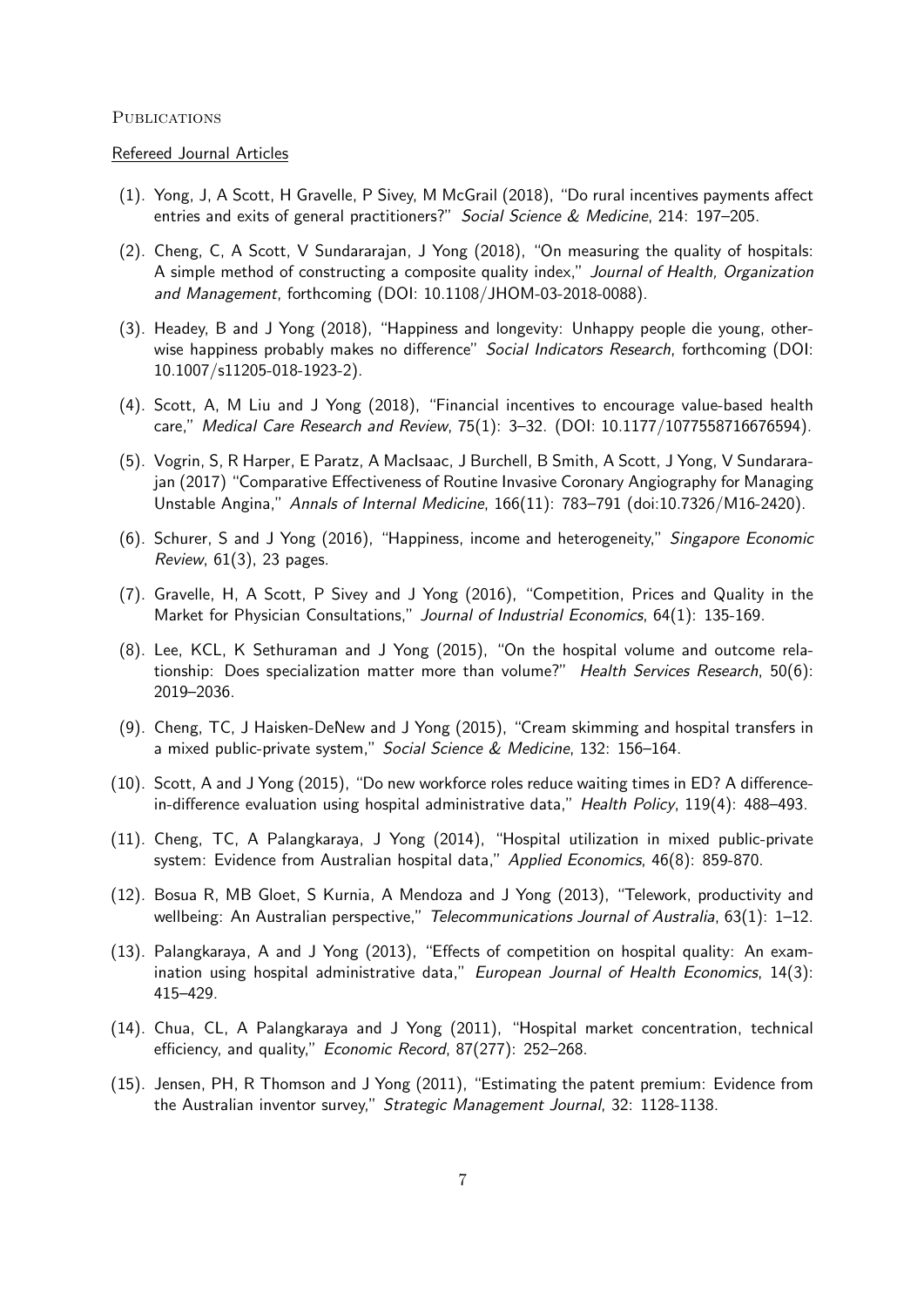#### **PUBLICATIONS**

#### Refereed Journal Articles

- (1). Yong, J, A Scott, H Gravelle, P Sivey, M McGrail (2018), "Do rural incentives payments affect entries and exits of general practitioners?" Social Science & Medicine, 214: 197–205.
- (2). Cheng, C, A Scott, V Sundararajan, J Yong (2018), "On measuring the quality of hospitals: A simple method of constructing a composite quality index," Journal of Health, Organization and Management, forthcoming (DOI: 10.1108/JHOM-03-2018-0088).
- (3). Headey, B and J Yong (2018), "Happiness and longevity: Unhappy people die young, otherwise happiness probably makes no difference" Social Indicators Research, forthcoming (DOI: 10.1007/s11205-018-1923-2).
- (4). Scott, A, M Liu and J Yong (2018), "Financial incentives to encourage value-based health care," Medical Care Research and Review, 75(1): 3–32. (DOI: 10.1177/1077558716676594).
- (5). Vogrin, S, R Harper, E Paratz, A MacIsaac, J Burchell, B Smith, A Scott, J Yong, V Sundararajan (2017) "Comparative Effectiveness of Routine Invasive Coronary Angiography for Managing Unstable Angina," Annals of Internal Medicine, 166(11): 783–791 (doi:10.7326/M16-2420).
- (6). Schurer, S and J Yong (2016), "Happiness, income and heterogeneity," Singapore Economic Review, 61(3), 23 pages.
- (7). Gravelle, H, A Scott, P Sivey and J Yong (2016), "Competition, Prices and Quality in the Market for Physician Consultations," Journal of Industrial Economics, 64(1): 135-169.
- (8). Lee, KCL, K Sethuraman and J Yong (2015), "On the hospital volume and outcome relationship: Does specialization matter more than volume?" Health Services Research, 50(6): 2019–2036.
- (9). Cheng, TC, J Haisken-DeNew and J Yong (2015), "Cream skimming and hospital transfers in a mixed public-private system," Social Science & Medicine, 132: 156–164.
- (10). Scott, A and J Yong (2015), "Do new workforce roles reduce waiting times in ED? A differencein-difference evaluation using hospital administrative data," Health Policy, 119(4): 488–493.
- (11). Cheng, TC, A Palangkaraya, J Yong (2014), "Hospital utilization in mixed public-private system: Evidence from Australian hospital data," Applied Economics, 46(8): 859-870.
- (12). Bosua R, MB Gloet, S Kurnia, A Mendoza and J Yong (2013), "Telework, productivity and wellbeing: An Australian perspective," Telecommunications Journal of Australia, 63(1): 1–12.
- (13). Palangkaraya, A and J Yong (2013), "Effects of competition on hospital quality: An examination using hospital administrative data," European Journal of Health Economics, 14(3): 415–429.
- (14). Chua, CL, A Palangkaraya and J Yong (2011), "Hospital market concentration, technical efficiency, and quality," Economic Record, 87(277): 252–268.
- (15). Jensen, PH, R Thomson and J Yong (2011), "Estimating the patent premium: Evidence from the Australian inventor survey," Strategic Management Journal, 32: 1128-1138.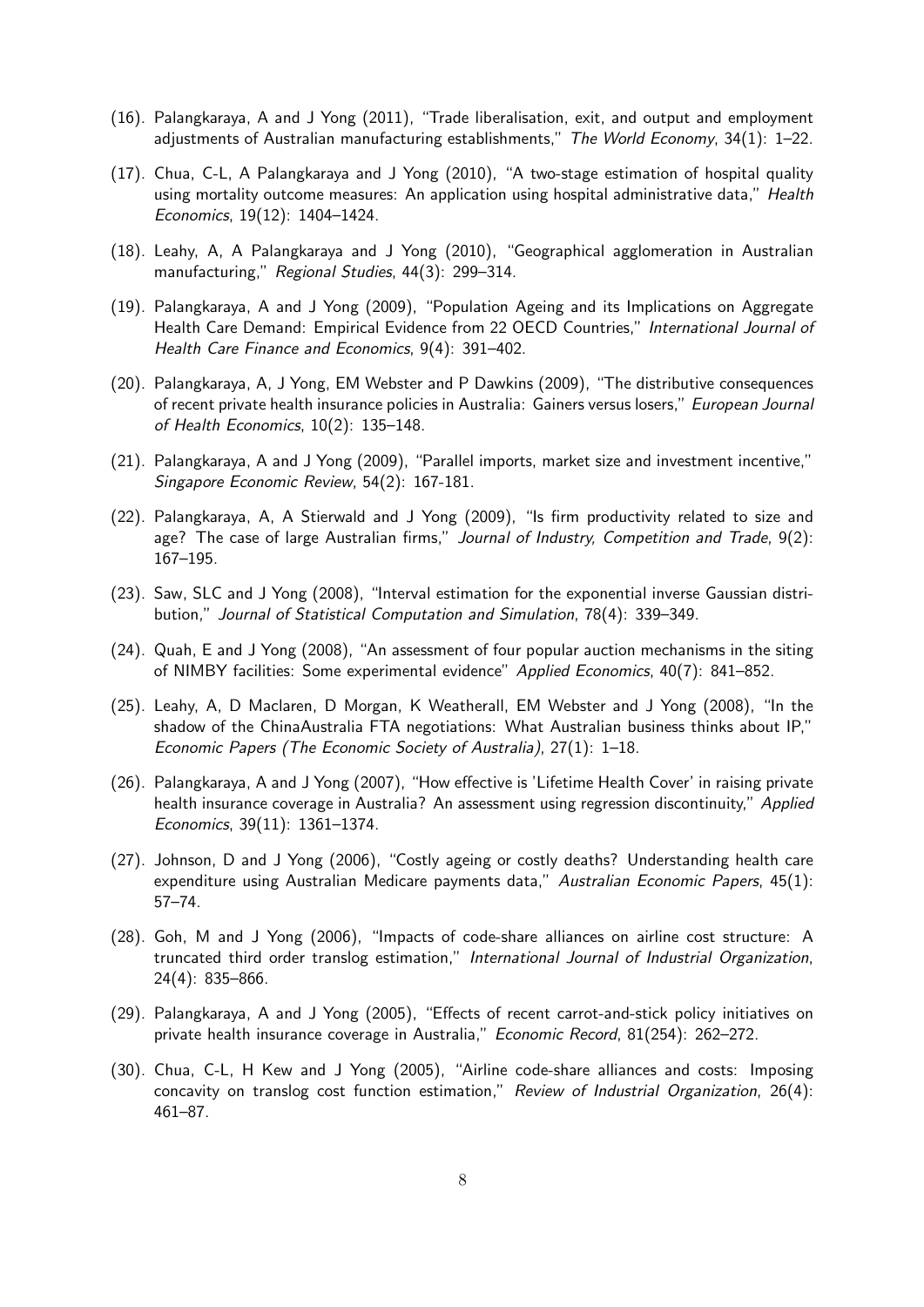- (16). Palangkaraya, A and J Yong (2011), "Trade liberalisation, exit, and output and employment adjustments of Australian manufacturing establishments," The World Economy,  $34(1)$ : 1–22.
- (17). Chua, C-L, A Palangkaraya and J Yong (2010), "A two-stage estimation of hospital quality using mortality outcome measures: An application using hospital administrative data," Health Economics, 19(12): 1404–1424.
- (18). Leahy, A, A Palangkaraya and J Yong (2010), "Geographical agglomeration in Australian manufacturing," Regional Studies, 44(3): 299-314.
- (19). Palangkaraya, A and J Yong (2009), "Population Ageing and its Implications on Aggregate Health Care Demand: Empirical Evidence from 22 OECD Countries," International Journal of Health Care Finance and Economics, 9(4): 391–402.
- (20). Palangkaraya, A, J Yong, EM Webster and P Dawkins (2009), "The distributive consequences of recent private health insurance policies in Australia: Gainers versus losers," European Journal of Health Economics, 10(2): 135–148.
- (21). Palangkaraya, A and J Yong (2009), "Parallel imports, market size and investment incentive," Singapore Economic Review, 54(2): 167-181.
- (22). Palangkaraya, A, A Stierwald and J Yong (2009), "Is firm productivity related to size and age? The case of large Australian firms," Journal of Industry, Competition and Trade, 9(2): 167–195.
- (23). Saw, SLC and J Yong (2008), "Interval estimation for the exponential inverse Gaussian distribution," Journal of Statistical Computation and Simulation, 78(4): 339–349.
- (24). Quah, E and J Yong (2008), "An assessment of four popular auction mechanisms in the siting of NIMBY facilities: Some experimental evidence" Applied Economics, 40(7): 841–852.
- (25). Leahy, A, D Maclaren, D Morgan, K Weatherall, EM Webster and J Yong (2008), "In the shadow of the ChinaAustralia FTA negotiations: What Australian business thinks about IP," Economic Papers (The Economic Society of Australia), 27(1): 1–18.
- (26). Palangkaraya, A and J Yong (2007), "How effective is 'Lifetime Health Cover' in raising private health insurance coverage in Australia? An assessment using regression discontinuity," Applied Economics, 39(11): 1361–1374.
- (27). Johnson, D and J Yong (2006), "Costly ageing or costly deaths? Understanding health care expenditure using Australian Medicare payments data," Australian Economic Papers, 45(1): 57–74.
- (28). Goh, M and J Yong (2006), "Impacts of code-share alliances on airline cost structure: A truncated third order translog estimation," International Journal of Industrial Organization, 24(4): 835–866.
- (29). Palangkaraya, A and J Yong (2005), "Effects of recent carrot-and-stick policy initiatives on private health insurance coverage in Australia," Economic Record, 81(254): 262–272.
- (30). Chua, C-L, H Kew and J Yong (2005), "Airline code-share alliances and costs: Imposing concavity on translog cost function estimation," Review of Industrial Organization, 26(4): 461–87.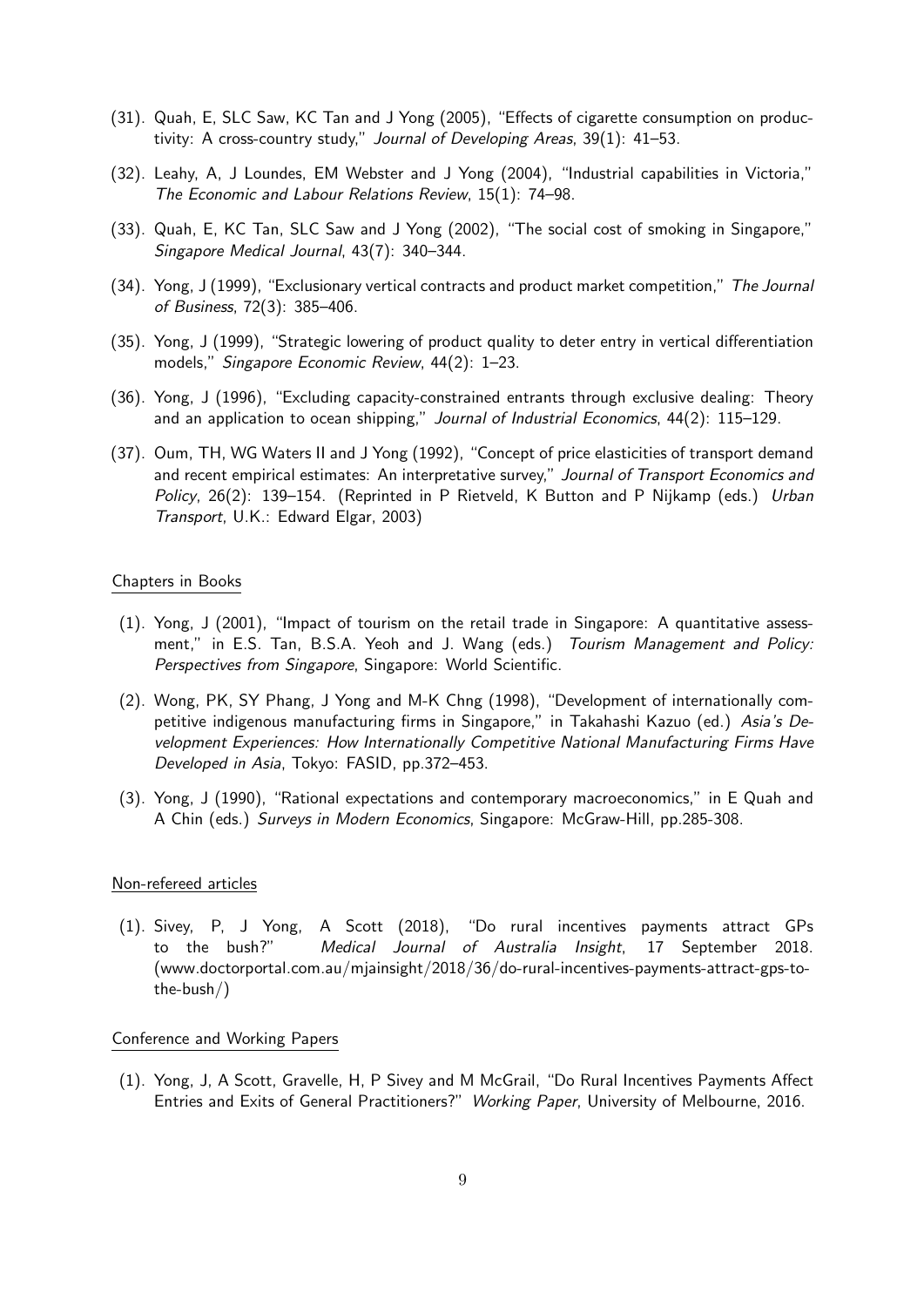- (31). Quah, E, SLC Saw, KC Tan and J Yong (2005), "Effects of cigarette consumption on productivity: A cross-country study," Journal of Developing Areas, 39(1): 41–53.
- (32). Leahy, A, J Loundes, EM Webster and J Yong (2004), "Industrial capabilities in Victoria," The Economic and Labour Relations Review, 15(1): 74–98.
- (33). Quah, E, KC Tan, SLC Saw and J Yong (2002), "The social cost of smoking in Singapore," Singapore Medical Journal, 43(7): 340–344.
- (34). Yong, J (1999), "Exclusionary vertical contracts and product market competition," The Journal of Business, 72(3): 385–406.
- (35). Yong, J (1999), "Strategic lowering of product quality to deter entry in vertical differentiation models," Singapore Economic Review, 44(2): 1–23.
- (36). Yong, J (1996), "Excluding capacity-constrained entrants through exclusive dealing: Theory and an application to ocean shipping," Journal of Industrial Economics, 44(2): 115-129.
- (37). Oum, TH, WG Waters II and J Yong (1992), "Concept of price elasticities of transport demand and recent empirical estimates: An interpretative survey," Journal of Transport Economics and Policy, 26(2): 139–154. (Reprinted in P Rietveld, K Button and P Nijkamp (eds.) Urban Transport, U.K.: Edward Elgar, 2003)

#### Chapters in Books

- (1). Yong, J (2001), "Impact of tourism on the retail trade in Singapore: A quantitative assessment," in E.S. Tan, B.S.A. Yeoh and J. Wang (eds.) Tourism Management and Policy: Perspectives from Singapore, Singapore: World Scientific.
- (2). Wong, PK, SY Phang, J Yong and M-K Chng (1998), "Development of internationally competitive indigenous manufacturing firms in Singapore," in Takahashi Kazuo (ed.) Asia's Development Experiences: How Internationally Competitive National Manufacturing Firms Have Developed in Asia, Tokyo: FASID, pp.372–453.
- (3). Yong, J (1990), "Rational expectations and contemporary macroeconomics," in E Quah and A Chin (eds.) Surveys in Modern Economics, Singapore: McGraw-Hill, pp.285-308.

#### Non-refereed articles

(1). Sivey, P, J Yong, A Scott (2018), "Do rural incentives payments attract GPs to the bush?" Medical Journal of Australia Insight, 17 September 2018. (www.doctorportal.com.au/mjainsight/2018/36/do-rural-incentives-payments-attract-gps-tothe-bush/)

## Conference and Working Papers

(1). Yong, J, A Scott, Gravelle, H, P Sivey and M McGrail, "Do Rural Incentives Payments Affect Entries and Exits of General Practitioners?" Working Paper, University of Melbourne, 2016.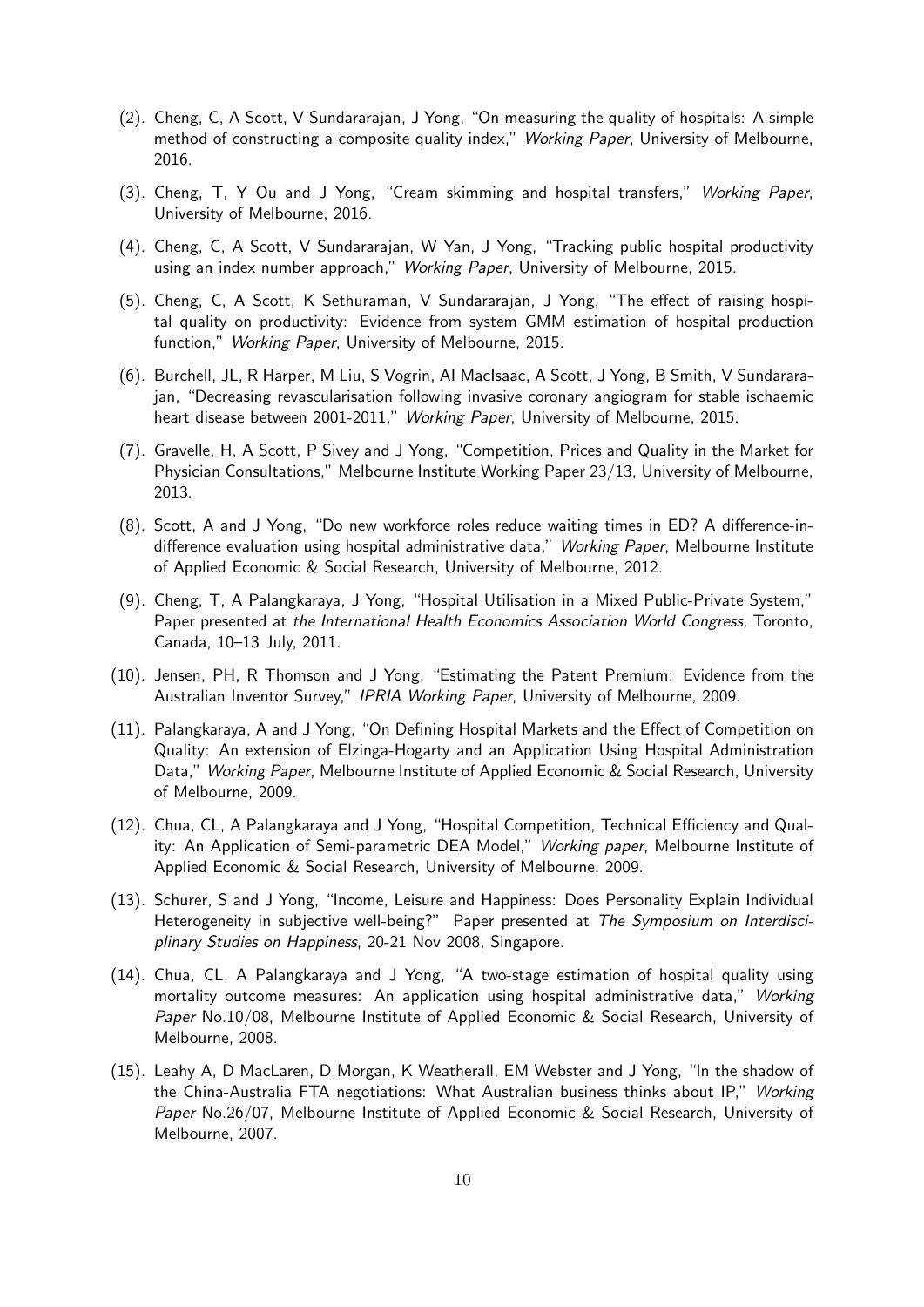- (2). Cheng, C, A Scott, V Sundararajan, J Yong, "On measuring the quality of hospitals: A simple method of constructing a composite quality index," Working Paper, University of Melbourne, 2016.
- (3). Cheng, T, Y Ou and J Yong, "Cream skimming and hospital transfers," Working Paper, University of Melbourne, 2016.
- (4). Cheng, C, A Scott, V Sundararajan, W Yan, J Yong, "Tracking public hospital productivity using an index number approach," Working Paper, University of Melbourne, 2015.
- (5). Cheng, C, A Scott, K Sethuraman, V Sundararajan, J Yong, "The effect of raising hospital quality on productivity: Evidence from system GMM estimation of hospital production function," Working Paper, University of Melbourne, 2015.
- (6). Burchell, JL, R Harper, M Liu, S Vogrin, AI MacIsaac, A Scott, J Yong, B Smith, V Sundararajan, "Decreasing revascularisation following invasive coronary angiogram for stable ischaemic heart disease between 2001-2011," Working Paper, University of Melbourne, 2015.
- (7). Gravelle, H, A Scott, P Sivey and J Yong, "Competition, Prices and Quality in the Market for Physician Consultations," Melbourne Institute Working Paper 23/13, University of Melbourne, 2013.
- (8). Scott, A and J Yong, "Do new workforce roles reduce waiting times in ED? A difference-indifference evaluation using hospital administrative data," Working Paper, Melbourne Institute of Applied Economic & Social Research, University of Melbourne, 2012.
- (9). Cheng, T, A Palangkaraya, J Yong, "Hospital Utilisation in a Mixed Public-Private System," Paper presented at the International Health Economics Association World Congress, Toronto, Canada, 10–13 July, 2011.
- (10). Jensen, PH, R Thomson and J Yong, "Estimating the Patent Premium: Evidence from the Australian Inventor Survey," IPRIA Working Paper, University of Melbourne, 2009.
- (11). Palangkaraya, A and J Yong, "On Defining Hospital Markets and the Effect of Competition on Quality: An extension of Elzinga-Hogarty and an Application Using Hospital Administration Data," Working Paper, Melbourne Institute of Applied Economic & Social Research, University of Melbourne, 2009.
- (12). Chua, CL, A Palangkaraya and J Yong, "Hospital Competition, Technical Efficiency and Quality: An Application of Semi-parametric DEA Model," Working paper, Melbourne Institute of Applied Economic & Social Research, University of Melbourne, 2009.
- (13). Schurer, S and J Yong, "Income, Leisure and Happiness: Does Personality Explain Individual Heterogeneity in subjective well-being?" Paper presented at The Symposium on Interdisciplinary Studies on Happiness, 20-21 Nov 2008, Singapore.
- (14). Chua, CL, A Palangkaraya and J Yong, "A two-stage estimation of hospital quality using mortality outcome measures: An application using hospital administrative data," Working Paper No.10/08, Melbourne Institute of Applied Economic & Social Research, University of Melbourne, 2008.
- (15). Leahy A, D MacLaren, D Morgan, K Weatherall, EM Webster and J Yong, "In the shadow of the China-Australia FTA negotiations: What Australian business thinks about IP," Working Paper No.26/07, Melbourne Institute of Applied Economic & Social Research, University of Melbourne, 2007.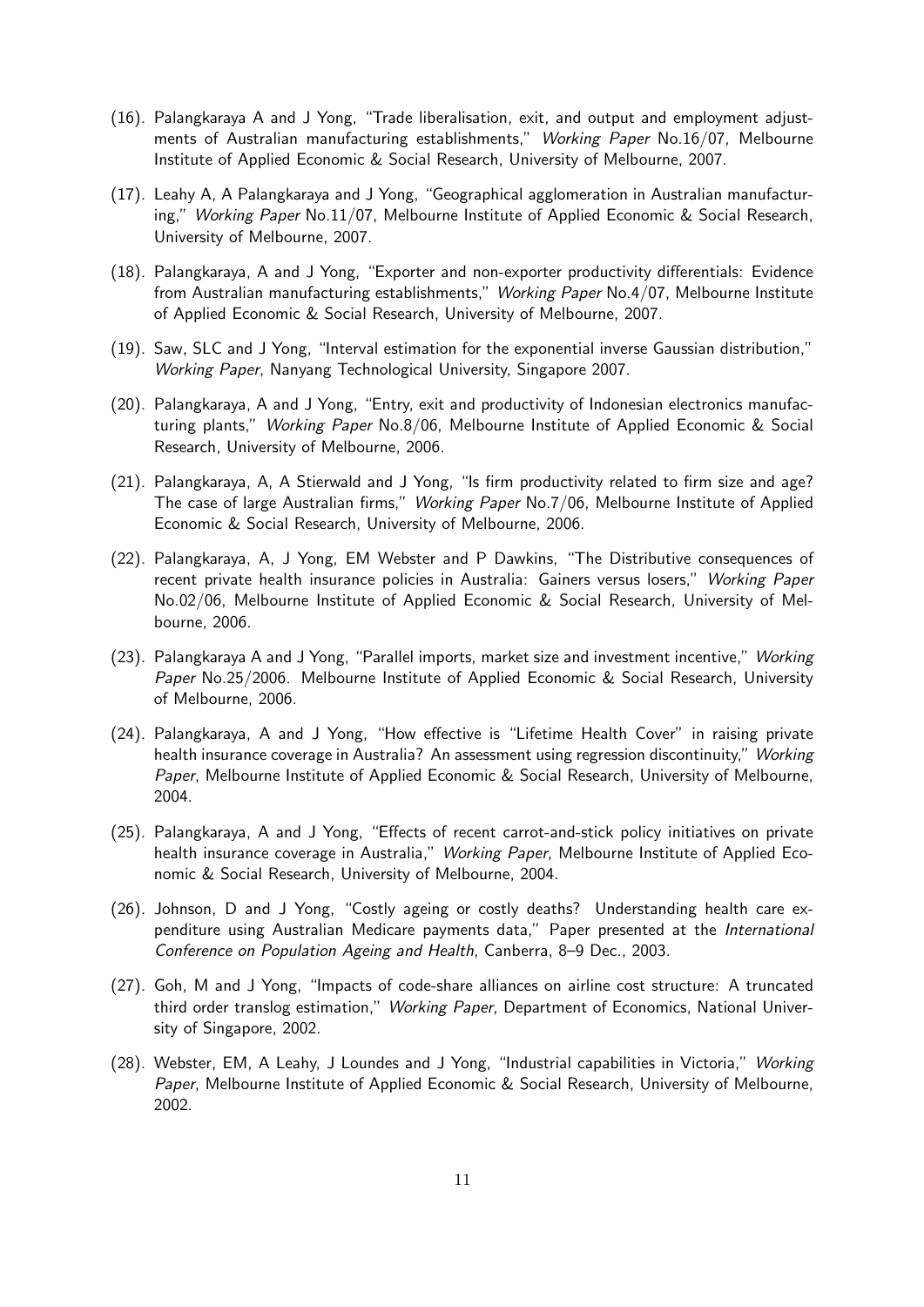- (16). Palangkaraya A and J Yong, "Trade liberalisation, exit, and output and employment adjustments of Australian manufacturing establishments," Working Paper No.16/07, Melbourne Institute of Applied Economic & Social Research, University of Melbourne, 2007.
- (17). Leahy A, A Palangkaraya and J Yong, "Geographical agglomeration in Australian manufacturing," Working Paper No.11/07, Melbourne Institute of Applied Economic & Social Research, University of Melbourne, 2007.
- (18). Palangkaraya, A and J Yong, "Exporter and non-exporter productivity differentials: Evidence from Australian manufacturing establishments," Working Paper No.4/07, Melbourne Institute of Applied Economic & Social Research, University of Melbourne, 2007.
- (19). Saw, SLC and J Yong, "Interval estimation for the exponential inverse Gaussian distribution," Working Paper, Nanyang Technological University, Singapore 2007.
- (20). Palangkaraya, A and J Yong, "Entry, exit and productivity of Indonesian electronics manufacturing plants," Working Paper No.8/06, Melbourne Institute of Applied Economic & Social Research, University of Melbourne, 2006.
- (21). Palangkaraya, A, A Stierwald and J Yong, "Is firm productivity related to firm size and age? The case of large Australian firms," Working Paper No.7/06, Melbourne Institute of Applied Economic & Social Research, University of Melbourne, 2006.
- (22). Palangkaraya, A, J Yong, EM Webster and P Dawkins, "The Distributive consequences of recent private health insurance policies in Australia: Gainers versus losers," Working Paper No.02/06, Melbourne Institute of Applied Economic & Social Research, University of Melbourne, 2006.
- (23). Palangkaraya A and J Yong, "Parallel imports, market size and investment incentive," Working Paper No.25/2006. Melbourne Institute of Applied Economic & Social Research, University of Melbourne, 2006.
- (24). Palangkaraya, A and J Yong, "How effective is "Lifetime Health Cover" in raising private health insurance coverage in Australia? An assessment using regression discontinuity," Working Paper, Melbourne Institute of Applied Economic & Social Research, University of Melbourne, 2004.
- (25). Palangkaraya, A and J Yong, "Effects of recent carrot-and-stick policy initiatives on private health insurance coverage in Australia," Working Paper, Melbourne Institute of Applied Economic & Social Research, University of Melbourne, 2004.
- (26). Johnson, D and J Yong, "Costly ageing or costly deaths? Understanding health care expenditure using Australian Medicare payments data," Paper presented at the International Conference on Population Ageing and Health, Canberra, 8–9 Dec., 2003.
- (27). Goh, M and J Yong, "Impacts of code-share alliances on airline cost structure: A truncated third order translog estimation," Working Paper, Department of Economics, National University of Singapore, 2002.
- (28). Webster, EM, A Leahy, J Loundes and J Yong, "Industrial capabilities in Victoria," Working Paper, Melbourne Institute of Applied Economic & Social Research, University of Melbourne, 2002.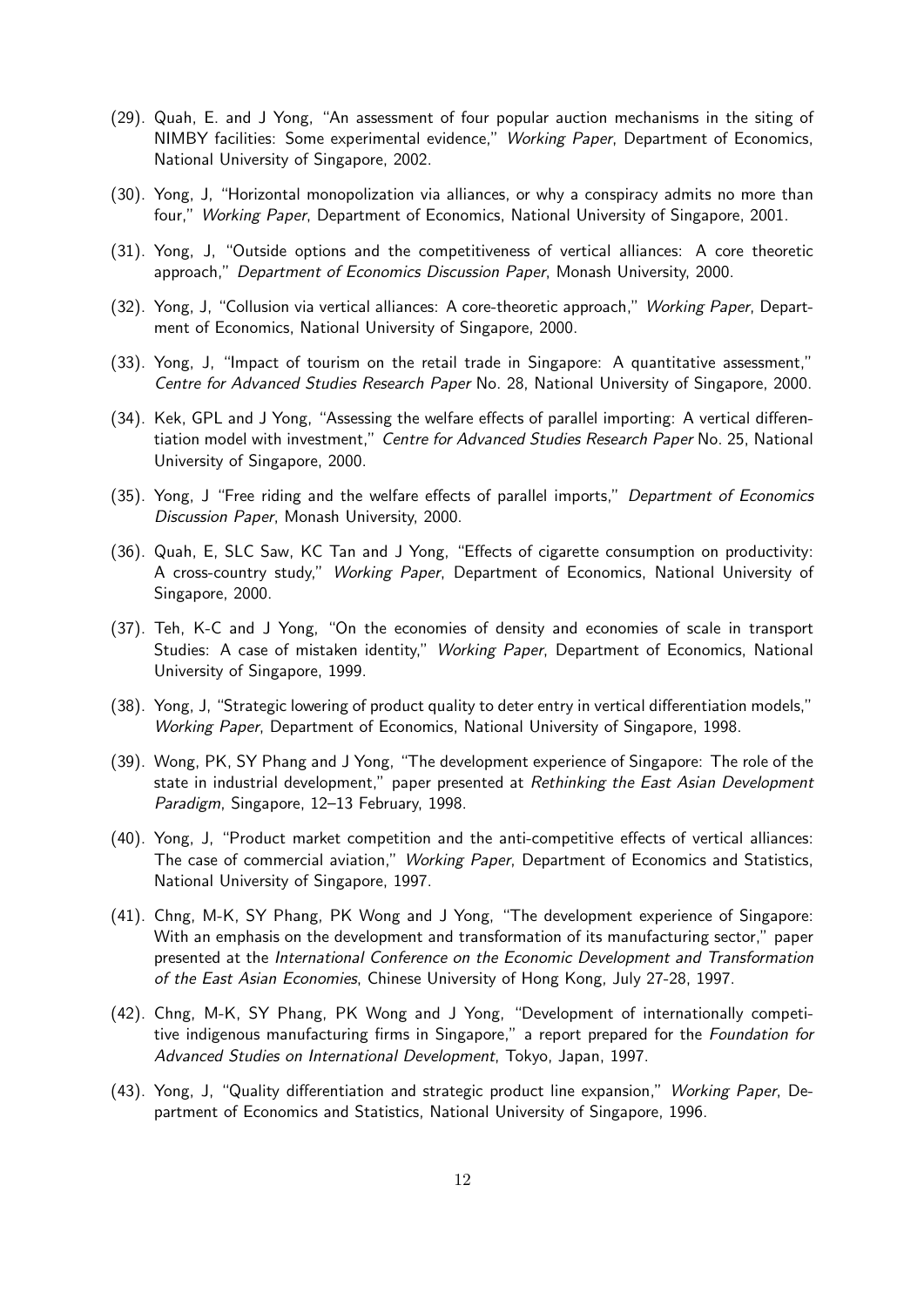- (29). Quah, E. and J Yong, "An assessment of four popular auction mechanisms in the siting of NIMBY facilities: Some experimental evidence," Working Paper, Department of Economics, National University of Singapore, 2002.
- (30). Yong, J, "Horizontal monopolization via alliances, or why a conspiracy admits no more than four," Working Paper, Department of Economics, National University of Singapore, 2001.
- (31). Yong, J, "Outside options and the competitiveness of vertical alliances: A core theoretic approach," Department of Economics Discussion Paper, Monash University, 2000.
- (32). Yong, J, "Collusion via vertical alliances: A core-theoretic approach," Working Paper, Department of Economics, National University of Singapore, 2000.
- (33). Yong, J, "Impact of tourism on the retail trade in Singapore: A quantitative assessment," Centre for Advanced Studies Research Paper No. 28, National University of Singapore, 2000.
- (34). Kek, GPL and J Yong, "Assessing the welfare effects of parallel importing: A vertical differentiation model with investment," Centre for Advanced Studies Research Paper No. 25, National University of Singapore, 2000.
- (35). Yong, J "Free riding and the welfare effects of parallel imports," Department of Economics Discussion Paper, Monash University, 2000.
- (36). Quah, E, SLC Saw, KC Tan and J Yong, "Effects of cigarette consumption on productivity: A cross-country study," Working Paper, Department of Economics, National University of Singapore, 2000.
- (37). Teh, K-C and J Yong, "On the economies of density and economies of scale in transport Studies: A case of mistaken identity," Working Paper, Department of Economics, National University of Singapore, 1999.
- (38). Yong, J, "Strategic lowering of product quality to deter entry in vertical differentiation models," Working Paper, Department of Economics, National University of Singapore, 1998.
- (39). Wong, PK, SY Phang and J Yong, "The development experience of Singapore: The role of the state in industrial development," paper presented at Rethinking the East Asian Development Paradigm, Singapore, 12–13 February, 1998.
- (40). Yong, J, "Product market competition and the anti-competitive effects of vertical alliances: The case of commercial aviation," Working Paper, Department of Economics and Statistics, National University of Singapore, 1997.
- (41). Chng, M-K, SY Phang, PK Wong and J Yong, "The development experience of Singapore: With an emphasis on the development and transformation of its manufacturing sector," paper presented at the International Conference on the Economic Development and Transformation of the East Asian Economies, Chinese University of Hong Kong, July 27-28, 1997.
- (42). Chng, M-K, SY Phang, PK Wong and J Yong, "Development of internationally competitive indigenous manufacturing firms in Singapore," a report prepared for the Foundation for Advanced Studies on International Development, Tokyo, Japan, 1997.
- (43). Yong, J, "Quality differentiation and strategic product line expansion," Working Paper, Department of Economics and Statistics, National University of Singapore, 1996.